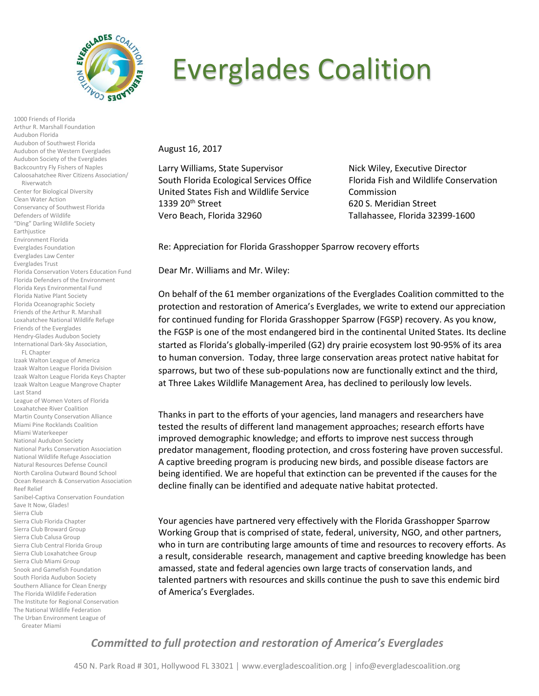

1000 Friends of Florida Arthur R. Marshall Foundation

Audubon of Southwest Florida Audubon of the Western Everglades Audubon Society of the Everglades Backcountry Fly Fishers of Naples Caloosahatchee River Citizens Association/

Center for Biological Diversity Clean Water Action

Conservancy of Southwest Florida

Audubon Florida

Riverwatch

Defenders of Wildlife "Ding" Darling Wildlife Society

Earthjustice Environment Florida

## Everglades Coalition

August 16, 2017

Larry Williams, State Supervisor Nick Wiley, Executive Director South Florida Ecological Services Office Florida Fish and Wildlife Conservation United States Fish and Wildlife Service Commission 1339 20<sup>th</sup> Street 620 S. Meridian Street Vero Beach, Florida 32960 Tallahassee, Florida 32399-1600

Re: Appreciation for Florida Grasshopper Sparrow recovery efforts

Dear Mr. Williams and Mr. Wiley:

On behalf of the 61 member organizations of the Everglades Coalition committed to the protection and restoration of America's Everglades, we write to extend our appreciation for continued funding for Florida Grasshopper Sparrow (FGSP) recovery. As you know, the FGSP is one of the most endangered bird in the continental United States. Its decline started as Florida's globally-imperiled (G2) dry prairie ecosystem lost 90-95% of its area to human conversion. Today, three large conservation areas protect native habitat for sparrows, but two of these sub-populations now are functionally extinct and the third, at Three Lakes Wildlife Management Area, has declined to perilously low levels.

Thanks in part to the efforts of your agencies, land managers and researchers have tested the results of different land management approaches; research efforts have improved demographic knowledge; and efforts to improve nest success through predator management, flooding protection, and cross fostering have proven successful. A captive breeding program is producing new birds, and possible disease factors are being identified. We are hopeful that extinction can be prevented if the causes for the decline finally can be identified and adequate native habitat protected.

Your agencies have partnered very effectively with the Florida Grasshopper Sparrow Working Group that is comprised of state, federal, university, NGO, and other partners, who in turn are contributing large amounts of time and resources to recovery efforts. As a result, considerable research, management and captive breeding knowledge has been amassed, state and federal agencies own large tracts of conservation lands, and talented partners with resources and skills continue the push to save this endemic bird of America's Everglades.

## *Committed to full protection and restoration of America's Everglades*

450 N. Park Road # 301, Hollywood FL 33021 │ www.evergladescoalition.org │ info@evergladescoalition.org

Everglades Foundation Everglades Law Center Everglades Trust Florida Conservation Voters Education Fund Florida Defenders of the Environment Florida Keys Environmental Fund Florida Native Plant Society Florida Oceanographic Society Friends of the Arthur R. Marshall Loxahatchee National Wildlife Refuge Friends of the Everglades Hendry-Glades Audubon Society International Dark-Sky Association, FL Chapter Izaak Walton League of America Izaak Walton League Florida Division Izaak Walton League Florida Keys Chapter Izaak Walton League Mangrove Chapter Last Stand League of Women Voters of Florida Loxahatchee River Coalition Martin County Conservation Alliance Miami Pine Rocklands Coalition Miami Waterkeeper National Audubon Society National Parks Conservation Association National Wildlife Refuge Association Natural Resources Defense Council North Carolina Outward Bound School Ocean Research & Conservation Association Reef Relief Sanibel-Captiva Conservation Foundation Save It Now, Glades! Sierra Club Sierra Club Florida Chapter Sierra Club Broward Group Sierra Club Calusa Group Sierra Club Central Florida Group Sierra Club Loxahatchee Group Sierra Club Miami Group Snook and Gamefish Foundation South Florida Audubon Society Southern Alliance for Clean Energy The Florida Wildlife Federation The Institute for Regional Conservation

The National Wildlife Federation The Urban Environment League of

Greater Miami